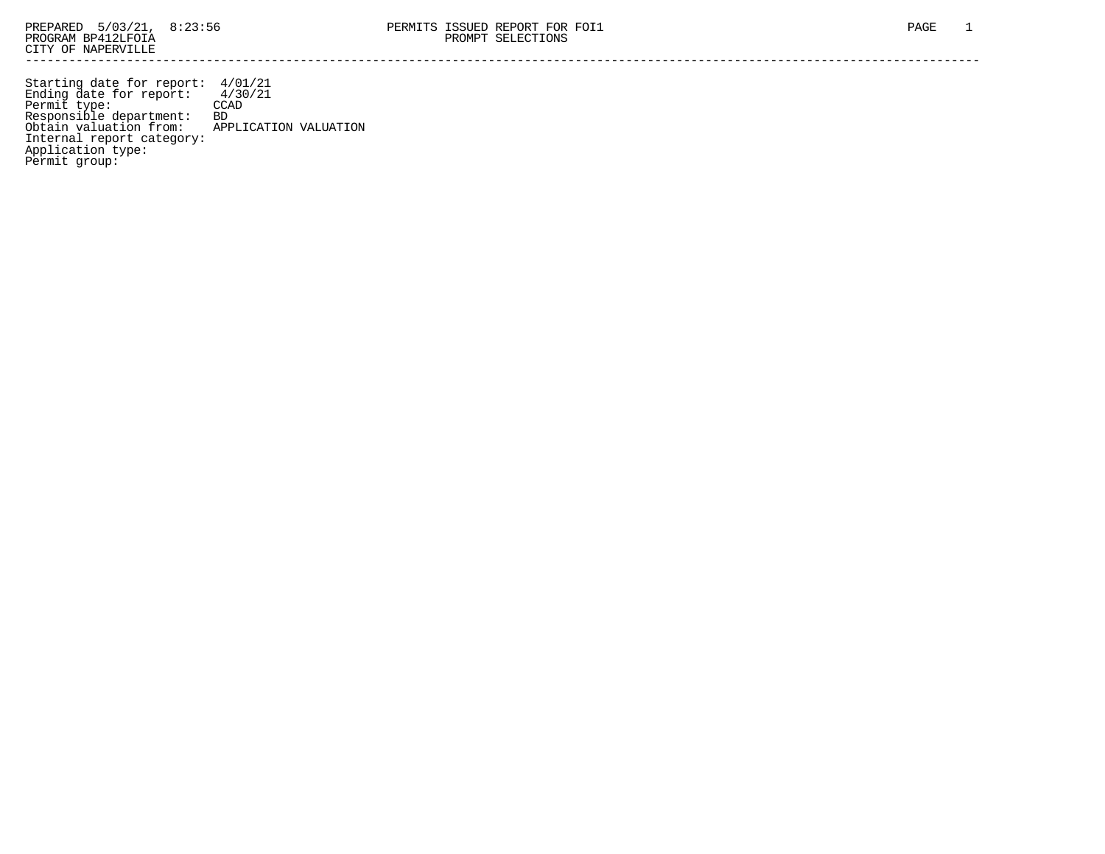Starting date for report: 4/01/21 Ending date for report: 4/30/21 Permit type: CCAD Responsible department: BD Obtain valuation from: APPLICATION VALUATION Internal report category: Application type: Permit group: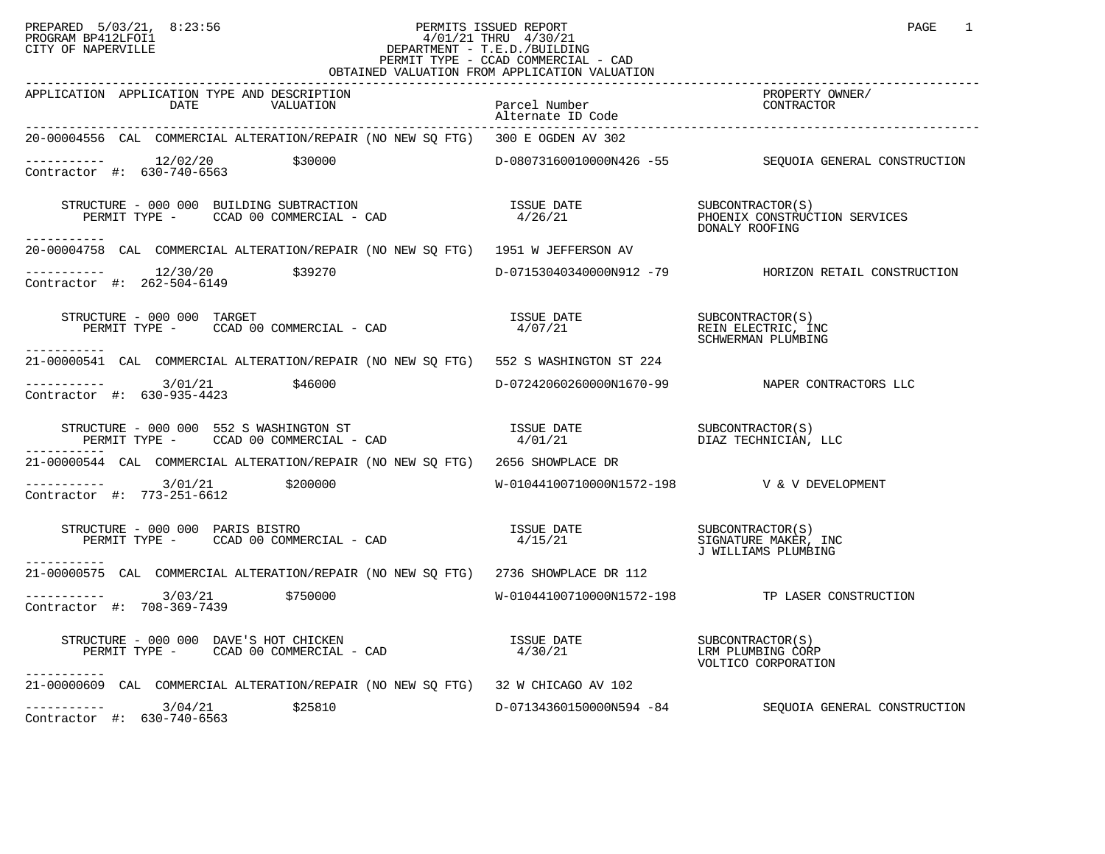## PREPARED 5/03/21, 8:23:56 PERMITS ISSUED REPORT<br>PROGRAM BP412LFOI1 PAGE 1 PROGRAM BP412LFOI1 4/01/21 THRU 4/30/21 CITY OF NAPERVILLE **Example 20** CITY OF NAPERVILLE PERMIT TYPE - CCAD COMMERCIAL - CAD OBTAINED VALUATION FROM APPLICATION VALUATION

| APPLICATION APPLICATION TYPE AND DESCRIPTION<br>DATE<br>VALUATION                                                                                                                                                                                                                                                                                                                                                                                                                      | Parcel Number<br>Alternate ID Code | PROPERTY OWNER/<br>CONTRACTOR                                 |
|----------------------------------------------------------------------------------------------------------------------------------------------------------------------------------------------------------------------------------------------------------------------------------------------------------------------------------------------------------------------------------------------------------------------------------------------------------------------------------------|------------------------------------|---------------------------------------------------------------|
| 20-00004556 CAL COMMERCIAL ALTERATION/REPAIR (NO NEW SQ FTG) 300 E OGDEN AV 302                                                                                                                                                                                                                                                                                                                                                                                                        |                                    |                                                               |
| $---------$ 12/02/20 \$30000<br>Contractor #: 630-740-6563                                                                                                                                                                                                                                                                                                                                                                                                                             |                                    | D-08073160010000N426 -55 SEQUOIA GENERAL CONSTRUCTION         |
| $\begin{array}{cccc} \texttt{STRUCTURE} & - & 000 & 000 & \texttt{BULDING SUBTRACTION} \\ \texttt{PERMIT TYPE} & - & \texttt{CCAD} & 00 & \texttt{COMMERCLAL} & - & \texttt{CAD} \\ \end{array} \qquad \begin{array}{cccc} \texttt{ISSUE} & \texttt{DATE} \\ \texttt{4/26/21} \\ \texttt{4/26/21} \\ \end{array} \qquad \begin{array}{cccc} \texttt{SUECONFRACTOR(S)} \\ \texttt{PHOENIX CONSTRUCTION SERVICES} \\ \texttt{DONALY ROOFING} \end{array}$<br>------------                |                                    |                                                               |
| 20-00004758 CAL COMMERCIAL ALTERATION/REPAIR (NO NEW SQ FTG) 1951 W JEFFERSON AV                                                                                                                                                                                                                                                                                                                                                                                                       |                                    |                                                               |
| $--------- 12/30/20$ \$39270<br>Contractor #: 262-504-6149                                                                                                                                                                                                                                                                                                                                                                                                                             |                                    |                                                               |
| STRUCTURE - 000 000 TARGET<br>TRUCTURE - 000 000 TARGET<br>PERMIT TYPE -     CCAD 00 COMMERCIAL - CAD<br>------------                                                                                                                                                                                                                                                                                                                                                                  | ISSUE DATE<br>4/07/21              | SUBCONTRACTOR (S)<br>REIN ELECTRIC, INC<br>SCHWERMAN PLUMBING |
| 21-00000541 CAL COMMERCIAL ALTERATION/REPAIR (NO NEW SQ FTG) 552 S WASHINGTON ST 224                                                                                                                                                                                                                                                                                                                                                                                                   |                                    |                                                               |
| $--------- 3/01/21$ \$46000<br>Contractor #: 630-935-4423                                                                                                                                                                                                                                                                                                                                                                                                                              |                                    | D-07242060260000N1670-99 NAPER CONTRACTORS LLC                |
| $\begin{array}{cccc} \texttt{STRUCTURE} & - & 000 & 000 & 552 \text{ } S & \texttt{WASHINGTON} & \texttt{ST} \\ \texttt{PERMIT TYPE} & - & \texttt{CCAD} & 00 & \texttt{COMMERCLAL} & - & \texttt{CAD} \\ \end{array} \qquad \begin{array}{cccc} \texttt{ISSUE} & \texttt{DATE} \\ \texttt{4/01/21} \\ \end{array} \qquad \begin{array}{cccc} \texttt{ISSUE} & \texttt{DATE} \\ \texttt{DIAZ} & \texttt{TECHNICIAN} \\ \end{array} \qquad \begin{array}{cccc} \texttt{LLC} \\ \texttt$ |                                    |                                                               |
| 21-00000544 CAL COMMERCIAL ALTERATION/REPAIR (NO NEW SQ FTG) 2656 SHOWPLACE DR                                                                                                                                                                                                                                                                                                                                                                                                         |                                    |                                                               |
| $---------$ 3/01/21 \$200000<br>Contractor #: 773-251-6612                                                                                                                                                                                                                                                                                                                                                                                                                             |                                    | W-01044100710000N1572-198  V & V DEVELOPMENT                  |
| $\begin{array}{cccc} \texttt{STRUCTURE} & - & 000 & 000 & \texttt{PARIS BISTRO} \\ \texttt{PERMIT TYPE} & - & \texttt{CCAD} & 00 & \texttt{COMMERCIAL} & - & \texttt{CAD} \\ \texttt{PERMIT TYPE} & - & \texttt{CCAD} & 00 & \texttt{COMMERCIAL} & - & \texttt{CAD} \\ \end{array}$<br>------------                                                                                                                                                                                    |                                    |                                                               |
| 21-00000575 CAL COMMERCIAL ALTERATION/REPAIR (NO NEW SO FTG) 2736 SHOWPLACE DR 112                                                                                                                                                                                                                                                                                                                                                                                                     |                                    |                                                               |
| $--------$ 3/03/21 \$750000<br>Contractor #: 708-369-7439                                                                                                                                                                                                                                                                                                                                                                                                                              |                                    | W-01044100710000N1572-198 TP LASER CONSTRUCTION               |
| $\begin{array}{cccc} \texttt{STRUCTURE} & - & 000 & 000 & \texttt{DAVE'S HOT CHICKEN} \\ \texttt{PERMIT TYPE} & - & \texttt{CCAD} & 00 & \texttt{COMMERCIAL} & - & \texttt{CAD} \\ \end{array} \hspace{1cm} \begin{array}{cccc} \texttt{ISSUE} & \texttt{DATE} \\ \texttt{4/30/21} & & \texttt{MTE} \\ \end{array} \hspace{1cm} \begin{array}{cccc} \texttt{SUBCONTRACTOR(S)} \\ \texttt{LRM PLUMBING CORP} \end{array}$<br>-----------                                                |                                    | VOLTICO CORPORATION                                           |
| 21-00000609 CAL COMMERCIAL ALTERATION/REPAIR (NO NEW SQ FTG) 32 W CHICAGO AV 102                                                                                                                                                                                                                                                                                                                                                                                                       |                                    |                                                               |
| $--------$ 3/04/21 \$25810<br>Contractor #: 630-740-6563                                                                                                                                                                                                                                                                                                                                                                                                                               |                                    | D-07134360150000N594 -84 SEQUOIA GENERAL CONSTRUCTION         |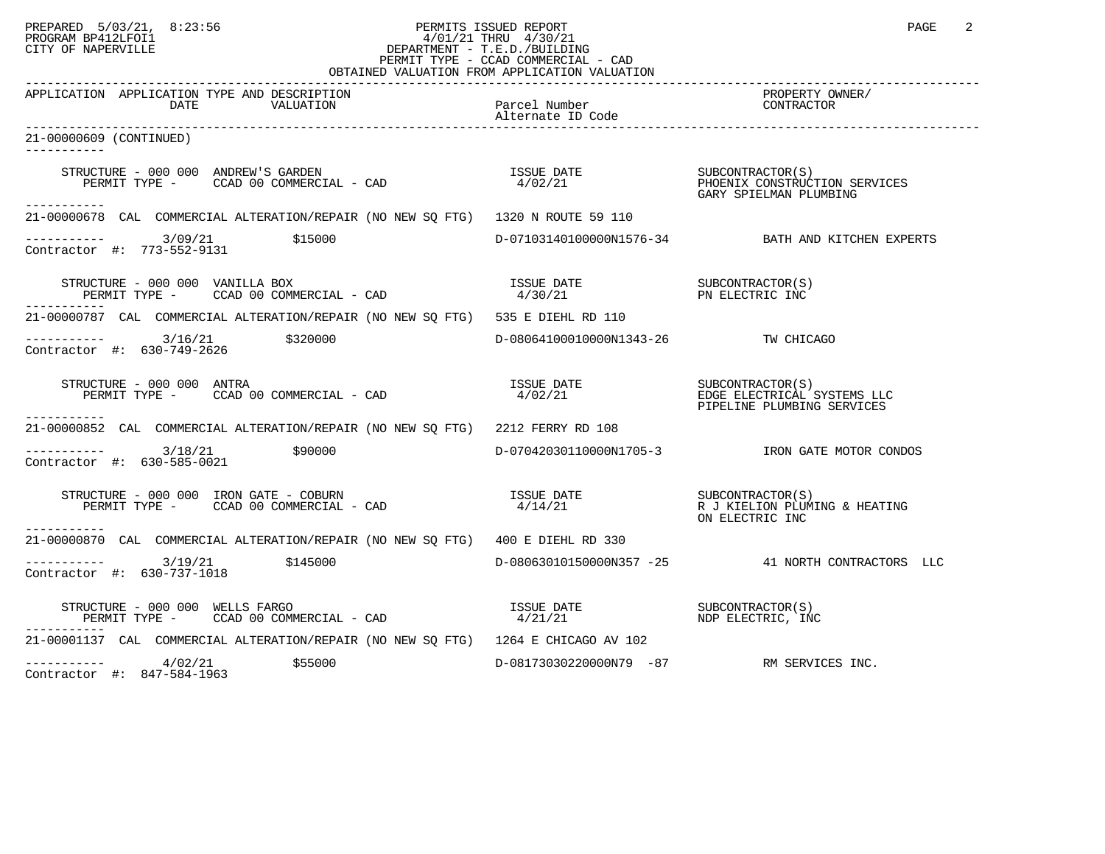## PREPARED 5/03/21, 8:23:56 PERMITS ISSUED REPORT<br>PROGRAM BP412LFOI1 PAGE 2 PROGRAM BP412LFOI1 4/01/21 THRU 4/30/21 CITY OF NAPERVILLE **Example 20** CITY OF NAPERVILLE PERMIT TYPE - CCAD COMMERCIAL - CAD OBTAINED VALUATION FROM APPLICATION VALUATION

| APPLICATION APPLICATION TYPE AND DESCRIPTION<br>DATE<br>VALUATION                                                                                                                                                                                                                                                                                                                                                                                                          | Parcel Number<br>Alternate ID Code       | PROPERTY OWNER/<br>CONTRACTOR                                                                    |
|----------------------------------------------------------------------------------------------------------------------------------------------------------------------------------------------------------------------------------------------------------------------------------------------------------------------------------------------------------------------------------------------------------------------------------------------------------------------------|------------------------------------------|--------------------------------------------------------------------------------------------------|
| 21-00000609 (CONTINUED)                                                                                                                                                                                                                                                                                                                                                                                                                                                    |                                          |                                                                                                  |
|                                                                                                                                                                                                                                                                                                                                                                                                                                                                            |                                          | GARY SPIELMAN PLUMBING                                                                           |
| ------------<br>21-00000678 CAL COMMERCIAL ALTERATION/REPAIR (NO NEW SQ FTG) 1320 N ROUTE 59 110                                                                                                                                                                                                                                                                                                                                                                           |                                          |                                                                                                  |
| $------ 3/09/21$<br>\$15000<br>Contractor #: 773-552-9131                                                                                                                                                                                                                                                                                                                                                                                                                  |                                          | D-07103140100000N1576-34 BATH AND KITCHEN EXPERTS                                                |
| $\begin{array}{cccccc} \texttt{STRUCTURE} & - & 000 & 000 & \texttt{VANILLA} & \texttt{BOX} & & & & & \\ \texttt{PERMIT TYPE} & - & \texttt{CCAD} & 00 & \texttt{COMMERCIAL} & - & \texttt{CAD} & & & & & \\ \end{array} \qquad \begin{array}{cccccc} \texttt{ISSUE} & \texttt{DATE} & & & & & \\ \texttt{SUE} & \texttt{DATE} & & & & & \\ \texttt{4/30/21} & & & & & & \texttt{PN} & \texttt{ELECTRIC INC} \\ \end{array}$<br>-----------                                |                                          |                                                                                                  |
| 21-00000787 CAL COMMERCIAL ALTERATION/REPAIR (NO NEW SO FTG) 535 E DIEHL RD 110                                                                                                                                                                                                                                                                                                                                                                                            |                                          |                                                                                                  |
| $------ 3/16/21$ \$320000<br>Contractor #: 630-749-2626                                                                                                                                                                                                                                                                                                                                                                                                                    | D-08064100010000N1343-26 TW CHICAGO      |                                                                                                  |
| STRUCTURE - 000 000 ANTRA<br>PERMIT TYPE - CCAD 00 COMMERCIAL - CAD<br>-----------                                                                                                                                                                                                                                                                                                                                                                                         |                                          | ISSUE DATE SUBCONTRACTOR(S)<br>4/02/21 EDGE ELECTRICAL SYSTEMS LLC<br>PIPELINE PLUMBING SERVICES |
| 21-00000852 CAL COMMERCIAL ALTERATION/REPAIR (NO NEW SQ FTG) 2212 FERRY RD 108                                                                                                                                                                                                                                                                                                                                                                                             |                                          |                                                                                                  |
| $--------$ 3/18/21 \$90000<br>Contractor #: 630-585-0021                                                                                                                                                                                                                                                                                                                                                                                                                   |                                          |                                                                                                  |
| $\begin{array}{cccccc} \texttt{STRUCTURE} & - & 000 & 000 & \texttt{IRON} & \texttt{GATE} & - & \texttt{COBURN} & & & \\ \texttt{PERMIT TYPE} & - & & & & & & \\ \texttt{PERMIT TYPE} & - & & & & & \\ \end{array} \hspace{-.2cm} \begin{array}{cccccc} \texttt{CAB} & \texttt{O} & \texttt{O} & \texttt{O} & \texttt{O} & \texttt{O} & \texttt{O} & \texttt{O} & \texttt{O} & \texttt{O} & \texttt{O} & \texttt{O} & \texttt{O} & \texttt{O} & \texttt{O}$<br>----------- |                                          | ON ELECTRIC INC                                                                                  |
| 21-00000870 CAL COMMERCIAL ALTERATION/REPAIR (NO NEW SQ FTG) 400 E DIEHL RD 330                                                                                                                                                                                                                                                                                                                                                                                            |                                          |                                                                                                  |
| $-$ -------- $3/19/21$ \$145000<br>Contractor #: 630-737-1018                                                                                                                                                                                                                                                                                                                                                                                                              |                                          | D-08063010150000N357 -25 41 NORTH CONTRACTORS LLC                                                |
| $\begin{array}{cccccc} \texttt{STRUCTURE} & - & 000 & 000 & \texttt{WELLS} & \texttt{FARGO} & & & & & \\ \texttt{PERMIT TYPE} & - & & \texttt{CCAD} & 00 & \texttt{COMMERCIAL} & - & \texttt{CAD} & & & & & \\ \end{array} \qquad \begin{array}{cccccc} \texttt{ISSUE} & \texttt{DATE} & & & & & \\ \texttt{MSE} & \texttt{DATE} & & & & & \\ \texttt{MDF} & \texttt{ELECTRIC} & \texttt{INC} & \texttt{INC} & \texttt{NDC} & \\ \end{array}$<br>-----------               |                                          |                                                                                                  |
| 21-00001137 CAL COMMERCIAL ALTERATION/REPAIR (NO NEW SQ FTG) 1264 E CHICAGO AV 102                                                                                                                                                                                                                                                                                                                                                                                         |                                          |                                                                                                  |
| $-$ -------- $4/02/21$ \$55000<br>Contractor #: 847-584-1963                                                                                                                                                                                                                                                                                                                                                                                                               | D-08173030220000N79 -87 RM SERVICES INC. |                                                                                                  |